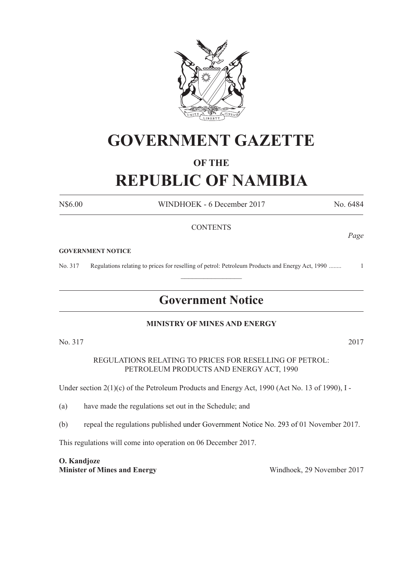

## **GOVERNMENT GAZETTE**

### **OF THE**

# **REPUBLIC OF NAMIBIA**

N\$6.00 WINDHOEK - 6 December 2017 No. 6484

#### **CONTENTS**

#### **GOVERNMENT NOTICE**

No. 317 Regulations relating to prices for reselling of petrol: Petroleum Products and Energy Act, 1990 ........ 1

### **Government Notice**

 $\frac{1}{2}$ 

#### **MINISTRY OF MINES AND ENERGY**

No. 317 2017

REGULATIONS RELATING TO PRICES FOR RESELLING OF PETROL: PETROLEUM PRODUCTS AND ENERGY ACT, 1990

Under section 2(1)(c) of the Petroleum Products and Energy Act, 1990 (Act No. 13 of 1990), I -

(a) have made the regulations set out in the Schedule; and

(b) repeal the regulations published under Government Notice No. 293 of 01 November 2017.

This regulations will come into operation on 06 December 2017.

**O. Kandjoze Minister of Mines and Energy Windhoek, 29 November 2017** 

*Page*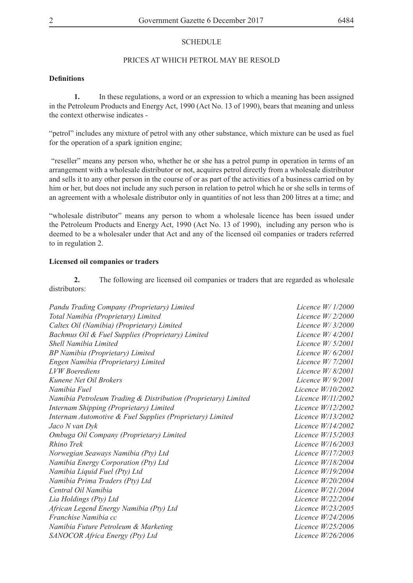#### **SCHEDULE**

#### PRICES AT WHICH PETROL MAY BE RESOLD

#### **Definitions**

**1.** In these regulations, a word or an expression to which a meaning has been assigned in the Petroleum Products and Energy Act, 1990 (Act No. 13 of 1990), bears that meaning and unless the context otherwise indicates -

"petrol" includes any mixture of petrol with any other substance, which mixture can be used as fuel for the operation of a spark ignition engine;

 "reseller" means any person who, whether he or she has a petrol pump in operation in terms of an arrangement with a wholesale distributor or not, acquires petrol directly from a wholesale distributor and sells it to any other person in the course of or as part of the activities of a business carried on by him or her, but does not include any such person in relation to petrol which he or she sells in terms of an agreement with a wholesale distributor only in quantities of not less than 200 litres at a time; and

"wholesale distributor" means any person to whom a wholesale licence has been issued under the Petroleum Products and Energy Act, 1990 (Act No. 13 of 1990), including any person who is deemed to be a wholesaler under that Act and any of the licensed oil companies or traders referred to in regulation 2.

#### **Licensed oil companies or traders**

**2.** The following are licensed oil companies or traders that are regarded as wholesale distributors:

| Pandu Trading Company (Proprietary) Limited                    | Licence $W/1/2000$  |
|----------------------------------------------------------------|---------------------|
| Total Namibia (Proprietary) Limited                            | Licence $W/2/2000$  |
| Caltex Oil (Namibia) (Proprietary) Limited                     | Licence $W/3/2000$  |
| Bachmus Oil & Fuel Supplies (Proprietary) Limited              | Licence $W/4/2001$  |
| Shell Namibia Limited                                          | Licence $W/5/2001$  |
| BP Namibia (Proprietary) Limited                               | Licence $W/6/2001$  |
| Engen Namibia (Proprietary) Limited                            | Licence $W/7/2001$  |
| <b>LVW</b> Boerediens                                          | Licence $W/8/2001$  |
| Kunene Net Oil Brokers                                         | Licence $W/9/2001$  |
| Namibia Fuel                                                   | Licence $W/10/2002$ |
| Namibia Petroleum Trading & Distribution (Proprietary) Limited | Licence $W/11/2002$ |
| Internam Shipping (Proprietary) Limited                        | Licence W/12/2002   |
| Internam Automotive & Fuel Supplies (Proprietary) Limited      | Licence $W/13/2002$ |
| Jaco N van Dyk                                                 | Licence $W/14/2002$ |
| Ombuga Oil Company (Proprietary) Limited                       | Licence W/15/2003   |
| Rhino Trek                                                     | Licence $W/16/2003$ |
| Norwegian Seaways Namibia (Pty) Ltd                            | Licence W/17/2003   |
| Namibia Energy Corporation (Pty) Ltd                           | Licence $W/18/2004$ |
| Namibia Liquid Fuel (Pty) Ltd                                  | Licence $W/19/2004$ |
| Namibia Prima Traders (Pty) Ltd                                | Licence $W/20/2004$ |
| Central Oil Namibia                                            | Licence $W/21/2004$ |
| Lia Holdings (Pty) Ltd                                         | Licence $W/22/2004$ |
| African Legend Energy Namibia (Pty) Ltd                        | Licence W/23/2005   |
| Franchise Namibia cc                                           | Licence W/24/2006   |
| Namibia Future Petroleum & Marketing                           | Licence $W/25/2006$ |
| SANOCOR Africa Energy (Pty) Ltd                                | Licence $W/26/2006$ |
|                                                                |                     |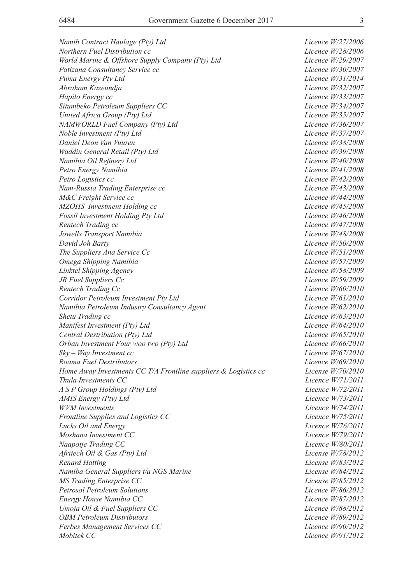*Namib Contract Haulage (Pty) Ltd Licence W/27/2006 Northern Fuel Distribution cc Licence W/28/2006 World Marine & Offshore Supply Company (Pty) Ltd Licence W/29/2007 Patizana Consultancy Service cc Licence W/30/2007 Puma Energy Pty Ltd Licence W/31/2014 Abraham Kazeundja Licence W/32/2007 Hapilo Energy cc Licence W/33/2007 Situmbeko Petroleum Suppliers CC Licence W/34/2007 United Africa Group (Pty) Ltd Licence W/35/2007 NAMWORLD Fuel Company (Pty) Ltd Licence W/36/2007 Noble Investment (Pty) Ltd Licence W/37/2007 Daniel Deon Van Vuuren Licence W/38/2008 Waddin General Retail (Pty) Ltd Licence W/39/2008 Namibia Oil Refinery Ltd Licence W/40/2008 Petro Energy Namibia Licence W/41/2008 Petro Logistics cc Licence W/42/2008 Nam-Russia Trading Enterprise cc Licence W/43/2008 M&C Freight Service cc Licence W/44/2008 MZOHS Investment Holding cc Licence W/45/2008 Fossil Investment Holding Pty Ltd Licence W/46/2008 Rentech Trading cc Licence W/47/2008 Jowells Transport Namibia Licence W/48/2008 David Joh Barty Licence W/50/2008 The Suppliers Ana Service Cc Licence W/51/2008 Omega Shipping Namibia Licence W/57/2009 Linktel Shipping Agency Licence W/58/2009 JR Fuel Suppliers Cc Licence W/59/2009 Rentech Trading Cc Licence W/60/2010 Corridor Petroleum Investment Pty Ltd Licence W/61/2010 Namibia Petroleum Industry Consultancy Agent Licence W/62/2010 Shetu Trading cc Licence W/63/2010 Manifest Investment (Pty) Ltd Licence W/64/2010 Central Destribution (Pty) Ltd Licence W/65/2010 Orban Investment Four woo two (Pty) Ltd Licence W/66/2010 Sky – Way Investment cc Licence W/67/2010 Roama Fuel Destributors Licence W/69/2010 Home Away Investments CC T/A Frontline suppliers & Logistics cc License W/70/2010 Thula Investments CC Licence W/71/2011 A S P Group Holdings (Pty) Ltd Licence W/72/2011 AMIS Energy (Pty) Ltd Licence W/73/2011 WVM Investments Licence W/74/2011 Frontline Supplies and Logistics CC Licence W/75/2011 Lucks Oil and Energy Licence W/76/2011 Moshana Investment CC Licence W/79/2011 Naapotje Trading CC Licence W/80/2011 Afritech Oil & Gas (Pty) Ltd License W/78/2012 Renard Hatting License W/83/2012 Namiba General Suppliers t/a NGS Marine License W/84/2012 MS Trading Enterprise CC* License W/85/2012 *Petrosol Petroleum Solutions Licence W/86/2012 Energy House Namibia CC Licence W/87/2012 Umoja Oil & Fuel Suppliers CC Licence W/88/2012 OBM Petroleum Distributors Licence W/89/2012 Ferbes Management Services CC Licence W/90/2012 Mobitek CC Licence W/91/2012*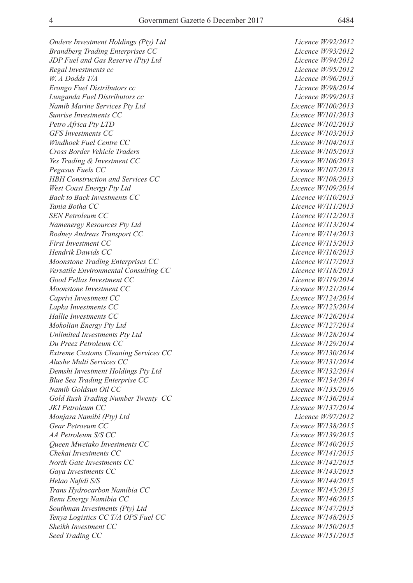*Brandberg Trading Enterprises CC* Licence W/93/2012 *JDP Fuel and Gas Reserve (Pty) Ltd Licence W/94/2012 Regal Investments cc Licence W/95/2012 W. A Dodds T/A Licence W/96/2013 Erongo Fuel Distributors cc Licence W/98/2014 Lunganda Fuel Distributors cc Licence W/99/2013 Namib Marine Services Pty Ltd Licence W/100/2013 Sunrise Investments CC Licence W/101/2013 Petro Africa Pty LTD Licence W/102/2013 GFS Investments CC Licence W/103/2013 Windhoek Fuel Centre CC Licence W/104/2013 Cross Border Vehicle Traders Licence W/105/2013 Yes Trading & Investment CC Licence W/106/2013 Pegasus Fuels CC Licence W/107/2013 HBH Construction and Services CC Licence W/108/2013 West Coast Energy Pty Ltd Licence W/109/2014 Back to Back Investments CC Licence W/110/2013 Tania Botha CC Licence W/111/2013 SEN Petroleum CC Licence W/112/2013 Namenergy Resources Pty Ltd Licence W/113/2014 Rodney Andreas Transport CC Licence W/114/2013 First Investment CC Licence W/115/2013 Hendrik Dawids CC Licence W/116/2013 Moonstone Trading Enterprises CC Licence W/117/2013 Versatile Environmental Consulting CC Licence W/118/2013 Good Fellas Investment CC Licence W/119/2014 Moonstone Investment CC Licence W/121/2014 Caprivi Investment CC Licence W/124/2014 Lapka Investments CC Licence W/125/2014 Hallie Investments CC Licence W/126/2014 Mokolian Energy Pty Ltd Licence W/127/2014 Unlimited Investments Pty Ltd Licence W/128/2014 Du Preez Petroleum CC Licence W/129/2014 Extreme Customs Cleaning Services CC Licence W/130/2014 Alushe Multi Services CC Licence W/131/2014 Demshi Investment Holdings Pty Ltd Licence W/132/2014 Blue Sea Trading Enterprise CC Licence W/134/2014 Namib Goldsun Oil CC Licence W/135/2016 Gold Rush Trading Number Twenty CC Licence W/136/2014 JKI Petroleum CC Licence W/137/2014 Monjasa Namibi (Pty) Ltd Licence W/97/2012 Gear Petroeum CC Licence W/138/2015 AA Petroleum S/S CC Licence W/139/2015 Queen Mwetako Investments CC Licence W/140/2015 Chekai Investments CC Licence W/141/2015 North Gate Investments CC Licence W/142/2015 Gaya Investments CC Licence W/143/2015 Helao Nafidi S/S Licence W/144/2015 Trans Hydrocarbon Namibia CC Licence W/145/2015 Renu Energy Namibia CC Licence W/146/2015 Southman Investments (Pty) Ltd Licence W/147/2015 Tenya Logistics CC T/A OPS Fuel CC Licence W/148/2015 Sheikh Investment CC Licence W/150/2015 Seed Trading CC Licence W/151/2015*

*Ondere Investment Holdings (Pty) Ltd Licence W/92/2012*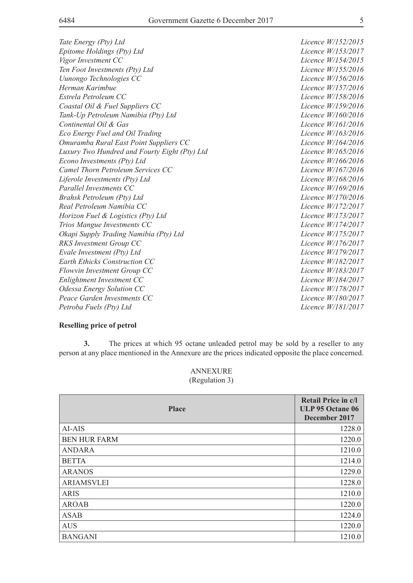| Tate Energy (Pty) Ltd                         | Licence W/152/2015 |
|-----------------------------------------------|--------------------|
| Epitome Holdings (Pty) Ltd                    | Licence W/153/2017 |
| Vigor Investment CC                           | Licence W/154/2015 |
| Ten Foot Investments (Pty) Ltd                | Licence W/155/2016 |
| Uunongo Technologies CC                       | Licence W/156/2016 |
| Herman Karimbue                               | Licence W/157/2016 |
| Estrela Petroleum CC                          | Licence W/158/2016 |
| Coastal Oil & Fuel Suppliers CC               | Licence W/159/2016 |
| Tank-Up Petroleum Namibia (Pty) Ltd           | Licence W/160/2016 |
| Continental Oil & Gas                         | Licence W/161/2016 |
| Eco Energy Fuel and Oil Trading               | Licence W/163/2016 |
| Omuramba Rural East Point Suppliers CC        | Licence W/164/2016 |
| Luxury Two Hundred and Fourty Eight (Pty) Ltd | Licence W/165/2016 |
| Econo Investments (Pty) Ltd                   | Licence W/166/2016 |
| Camel Thorn Petroleum Services CC             | Licence W/167/2016 |
| Liferole Investments (Pty) Ltd                | Licence W/168/2016 |
| Parallel Investments CC                       | Licence W/169/2016 |
| Brahsk Petroleum (Pty) Ltd                    | Licence W/170/2016 |
| Real Petroleum Namibia CC                     | Licence W/172/2017 |
| Horizon Fuel & Logistics (Pty) Ltd            | Licence W/173/2017 |
| Trios Mangue Investments CC                   | Licence W/174/2017 |
| Okapi Supply Trading Namibia (Pty) Ltd        | Licence W/175/2017 |
| <b>RKS</b> Investment Group CC                | Licence W/176/2017 |
| Evale Investment (Pty) Ltd                    | Licence W/179/2017 |
| <b>Earth Ethicks Construction CC</b>          | Licence W/182/2017 |
| Flowvin Investment Group CC                   | Licence W/183/2017 |
| Enlightment Investment CC                     | Licence W/184/2017 |
| Odessa Energy Solution CC                     | Licence W/178/2017 |
| Peace Garden Investments CC                   | Licence W/180/2017 |
| Petroba Fuels (Pty) Ltd                       | Licence W/181/2017 |

#### **Reselling price of petrol**

**3.** The prices at which 95 octane unleaded petrol may be sold by a reseller to any person at any place mentioned in the Annexure are the prices indicated opposite the place concerned.

| <b>Place</b>        | <b>Retail Price in c/l</b><br><b>ULP 95 Octane 06</b><br>December 2017 |
|---------------------|------------------------------------------------------------------------|
| AI-AIS              | 1228.0                                                                 |
| <b>BEN HUR FARM</b> | 1220.0                                                                 |
| <b>ANDARA</b>       | 1210.0                                                                 |
| <b>BETTA</b>        | 1214.0                                                                 |
| <b>ARANOS</b>       | 1229.0                                                                 |
| <b>ARIAMSVLEI</b>   | 1228.0                                                                 |
| <b>ARIS</b>         | 1210.0                                                                 |
| <b>AROAB</b>        | 1220.0                                                                 |
| <b>ASAB</b>         | 1224.0                                                                 |
| <b>AUS</b>          | 1220.0                                                                 |
| <b>BANGANI</b>      | 1210.0                                                                 |

#### ANNEXURE (Regulation 3)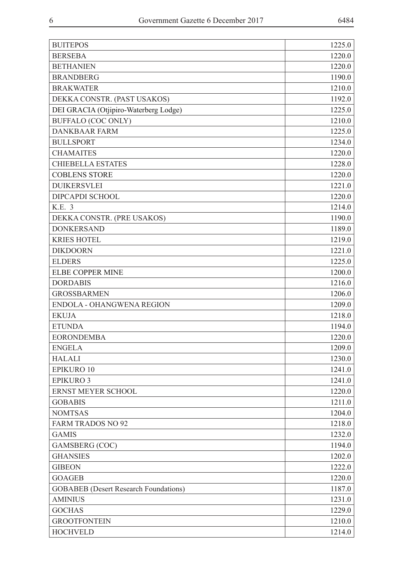| <b>BUITEPOS</b>                              | 1225.0 |
|----------------------------------------------|--------|
| <b>BERSEBA</b>                               | 1220.0 |
| <b>BETHANIEN</b>                             | 1220.0 |
| <b>BRANDBERG</b>                             | 1190.0 |
| <b>BRAKWATER</b>                             | 1210.0 |
| DEKKA CONSTR. (PAST USAKOS)                  | 1192.0 |
| DEI GRACIA (Otjipiro-Waterberg Lodge)        | 1225.0 |
| <b>BUFFALO (COC ONLY)</b>                    | 1210.0 |
| <b>DANKBAAR FARM</b>                         | 1225.0 |
| <b>BULLSPORT</b>                             | 1234.0 |
| <b>CHAMAITES</b>                             | 1220.0 |
| <b>CHIEBELLA ESTATES</b>                     | 1228.0 |
| <b>COBLENS STORE</b>                         | 1220.0 |
| <b>DUIKERSVLEI</b>                           | 1221.0 |
| DIPCAPDI SCHOOL                              | 1220.0 |
| K.E. 3                                       | 1214.0 |
| DEKKA CONSTR. (PRE USAKOS)                   | 1190.0 |
| <b>DONKERSAND</b>                            | 1189.0 |
| <b>KRIES HOTEL</b>                           | 1219.0 |
| <b>DIKDOORN</b>                              | 1221.0 |
| <b>ELDERS</b>                                | 1225.0 |
| ELBE COPPER MINE                             | 1200.0 |
| <b>DORDABIS</b>                              | 1216.0 |
| <b>GROSSBARMEN</b>                           | 1206.0 |
| ENDOLA - OHANGWENA REGION                    | 1209.0 |
| <b>EKUJA</b>                                 | 1218.0 |
| <b>ETUNDA</b>                                | 1194.0 |
| <b>EORONDEMBA</b>                            | 1220.0 |
| <b>ENGELA</b>                                | 1209.0 |
| <b>HALALI</b>                                | 1230.0 |
| <b>EPIKURO 10</b>                            | 1241.0 |
| <b>EPIKURO 3</b>                             | 1241.0 |
| ERNST MEYER SCHOOL                           | 1220.0 |
| <b>GOBABIS</b>                               | 1211.0 |
| <b>NOMTSAS</b>                               | 1204.0 |
| <b>FARM TRADOS NO 92</b>                     | 1218.0 |
| <b>GAMIS</b>                                 | 1232.0 |
| <b>GAMSBERG (COC)</b>                        | 1194.0 |
| <b>GHANSIES</b>                              | 1202.0 |
| <b>GIBEON</b>                                | 1222.0 |
| <b>GOAGEB</b>                                | 1220.0 |
| <b>GOBABEB</b> (Desert Research Foundations) | 1187.0 |
| <b>AMINIUS</b>                               | 1231.0 |
| <b>GOCHAS</b>                                | 1229.0 |
| <b>GROOTFONTEIN</b>                          | 1210.0 |
| <b>HOCHVELD</b>                              | 1214.0 |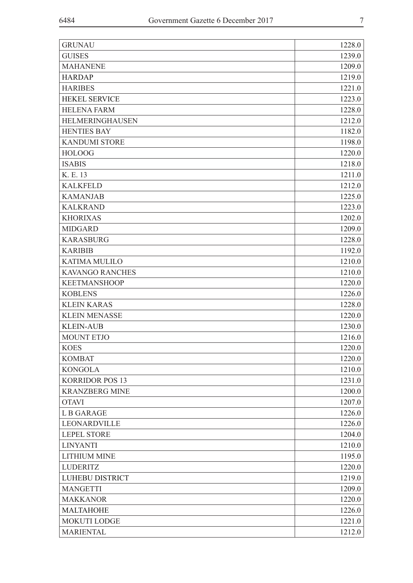| <b>GRUNAU</b>          | 1228.0 |
|------------------------|--------|
| <b>GUISES</b>          | 1239.0 |
| <b>MAHANENE</b>        | 1209.0 |
| <b>HARDAP</b>          | 1219.0 |
| <b>HARIBES</b>         | 1221.0 |
| <b>HEKEL SERVICE</b>   | 1223.0 |
| <b>HELENA FARM</b>     | 1228.0 |
| <b>HELMERINGHAUSEN</b> | 1212.0 |
| <b>HENTIES BAY</b>     | 1182.0 |
| <b>KANDUMI STORE</b>   | 1198.0 |
| <b>HOLOOG</b>          | 1220.0 |
| <b>ISABIS</b>          | 1218.0 |
| K. E. 13               | 1211.0 |
| <b>KALKFELD</b>        | 1212.0 |
| <b>KAMANJAB</b>        | 1225.0 |
| <b>KALKRAND</b>        | 1223.0 |
| <b>KHORIXAS</b>        | 1202.0 |
| <b>MIDGARD</b>         | 1209.0 |
| <b>KARASBURG</b>       | 1228.0 |
| <b>KARIBIB</b>         | 1192.0 |
| <b>KATIMA MULILO</b>   | 1210.0 |
| <b>KAVANGO RANCHES</b> | 1210.0 |
| <b>KEETMANSHOOP</b>    | 1220.0 |
| <b>KOBLENS</b>         | 1226.0 |
| <b>KLEIN KARAS</b>     | 1228.0 |
| <b>KLEIN MENASSE</b>   | 1220.0 |
| <b>KLEIN-AUB</b>       | 1230.0 |
| <b>MOUNT ETJO</b>      | 1216.0 |
| <b>KOES</b>            | 1220.0 |
| <b>KOMBAT</b>          | 1220.0 |
| <b>KONGOLA</b>         | 1210.0 |
| <b>KORRIDOR POS 13</b> | 1231.0 |
| <b>KRANZBERG MINE</b>  | 1200.0 |
| <b>OTAVI</b>           | 1207.0 |
| <b>LBGARAGE</b>        | 1226.0 |
| LEONARDVILLE           | 1226.0 |
| <b>LEPEL STORE</b>     | 1204.0 |
| <b>LINYANTI</b>        | 1210.0 |
| <b>LITHIUM MINE</b>    | 1195.0 |
| <b>LUDERITZ</b>        | 1220.0 |
| <b>LUHEBU DISTRICT</b> | 1219.0 |
| <b>MANGETTI</b>        | 1209.0 |
| <b>MAKKANOR</b>        | 1220.0 |
| <b>MALTAHOHE</b>       | 1226.0 |
| <b>MOKUTI LODGE</b>    | 1221.0 |
| <b>MARIENTAL</b>       | 1212.0 |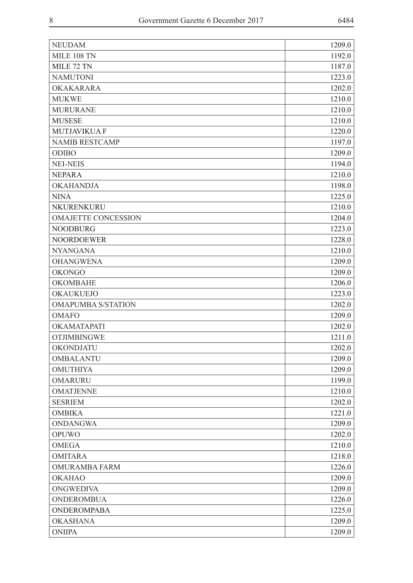| <b>NEUDAM</b>              | 1209.0 |
|----------------------------|--------|
| <b>MILE 108 TN</b>         | 1192.0 |
| MILE 72 TN                 | 1187.0 |
| <b>NAMUTONI</b>            | 1223.0 |
| OKAKARARA                  | 1202.0 |
| <b>MUKWE</b>               | 1210.0 |
| <b>MURURANE</b>            | 1210.0 |
| <b>MUSESE</b>              | 1210.0 |
| <b>MUTJAVIKUA F</b>        | 1220.0 |
| <b>NAMIB RESTCAMP</b>      | 1197.0 |
| <b>ODIBO</b>               | 1209.0 |
| <b>NEI-NEIS</b>            | 1194.0 |
| <b>NEPARA</b>              | 1210.0 |
| <b>OKAHANDJA</b>           | 1198.0 |
| <b>NINA</b>                | 1225.0 |
| NKURENKURU                 | 1210.0 |
| <b>OMAJETTE CONCESSION</b> | 1204.0 |
| <b>NOODBURG</b>            | 1223.0 |
| <b>NOORDOEWER</b>          | 1228.0 |
| <b>NYANGANA</b>            | 1210.0 |
| <b>OHANGWENA</b>           | 1209.0 |
| <b>OKONGO</b>              | 1209.0 |
| <b>OKOMBAHE</b>            | 1206.0 |
| <b>OKAUKUEJO</b>           | 1223.0 |
| <b>OMAPUMBA S/STATION</b>  | 1202.0 |
| <b>OMAFO</b>               | 1209.0 |
| OKAMATAPATI                | 1202.0 |
| <b>OTJIMBINGWE</b>         | 1211.0 |
| <b>OKONDJATU</b>           | 1202.0 |
| <b>OMBALANTU</b>           | 1209.0 |
| <b>OMUTHIYA</b>            | 1209.0 |
| <b>OMARURU</b>             | 1199.0 |
| <b>OMATJENNE</b>           | 1210.0 |
| <b>SESRIEM</b>             | 1202.0 |
| <b>OMBIKA</b>              | 1221.0 |
| <b>ONDANGWA</b>            | 1209.0 |
| <b>OPUWO</b>               | 1202.0 |
| <b>OMEGA</b>               | 1210.0 |
| <b>OMITARA</b>             | 1218.0 |
| <b>OMURAMBA FARM</b>       | 1226.0 |
| <b>OKAHAO</b>              | 1209.0 |
| <b>ONGWEDIVA</b>           | 1209.0 |
| <b>ONDEROMBUA</b>          | 1226.0 |
| <b>ONDEROMPABA</b>         | 1225.0 |
| <b>OKASHANA</b>            | 1209.0 |
| <b>ONIIPA</b>              | 1209.0 |
|                            |        |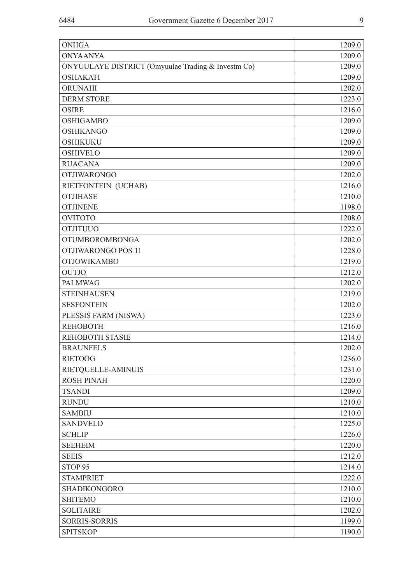| <b>ONHGA</b>                                       | 1209.0 |
|----------------------------------------------------|--------|
| <b>ONYAANYA</b>                                    | 1209.0 |
| ONYUULAYE DISTRICT (Omyuulae Trading & Investm Co) | 1209.0 |
| <b>OSHAKATI</b>                                    | 1209.0 |
| ORUNAHI                                            | 1202.0 |
| <b>DERM STORE</b>                                  | 1223.0 |
| <b>OSIRE</b>                                       | 1216.0 |
| <b>OSHIGAMBO</b>                                   | 1209.0 |
| <b>OSHIKANGO</b>                                   | 1209.0 |
| <b>OSHIKUKU</b>                                    | 1209.0 |
| <b>OSHIVELO</b>                                    | 1209.0 |
| <b>RUACANA</b>                                     | 1209.0 |
| <b>OTJIWARONGO</b>                                 | 1202.0 |
| RIETFONTEIN (UCHAB)                                | 1216.0 |
| <b>OTJIHASE</b>                                    | 1210.0 |
| <b>OTJINENE</b>                                    | 1198.0 |
| <b>OVITOTO</b>                                     | 1208.0 |
| <b>OTJITUUO</b>                                    | 1222.0 |
| <b>OTUMBOROMBONGA</b>                              | 1202.0 |
| <b>OTJIWARONGO POS 11</b>                          | 1228.0 |
| <b>OTJOWIKAMBO</b>                                 | 1219.0 |
| <b>OUTJO</b>                                       | 1212.0 |
| <b>PALMWAG</b>                                     | 1202.0 |
| <b>STEINHAUSEN</b>                                 | 1219.0 |
| <b>SESFONTEIN</b>                                  | 1202.0 |
| PLESSIS FARM (NISWA)                               | 1223.0 |
| <b>REHOBOTH</b>                                    | 1216.0 |
| <b>REHOBOTH STASIE</b>                             | 1214.0 |
| <b>BRAUNFELS</b>                                   | 1202.0 |
| <b>RIETOOG</b>                                     | 1236.0 |
| RIETQUELLE-AMINUIS                                 | 1231.0 |
| <b>ROSH PINAH</b>                                  | 1220.0 |
| <b>TSANDI</b>                                      | 1209.0 |
| <b>RUNDU</b>                                       | 1210.0 |
| <b>SAMBIU</b>                                      | 1210.0 |
| <b>SANDVELD</b>                                    | 1225.0 |
| <b>SCHLIP</b>                                      | 1226.0 |
| <b>SEEHEIM</b>                                     | 1220.0 |
| <b>SEEIS</b>                                       | 1212.0 |
| STOP <sub>95</sub>                                 | 1214.0 |
| <b>STAMPRIET</b>                                   | 1222.0 |
| SHADIKONGORO                                       | 1210.0 |
| <b>SHITEMO</b>                                     | 1210.0 |
| <b>SOLITAIRE</b>                                   | 1202.0 |
| <b>SORRIS-SORRIS</b>                               | 1199.0 |
| <b>SPITSKOP</b>                                    | 1190.0 |